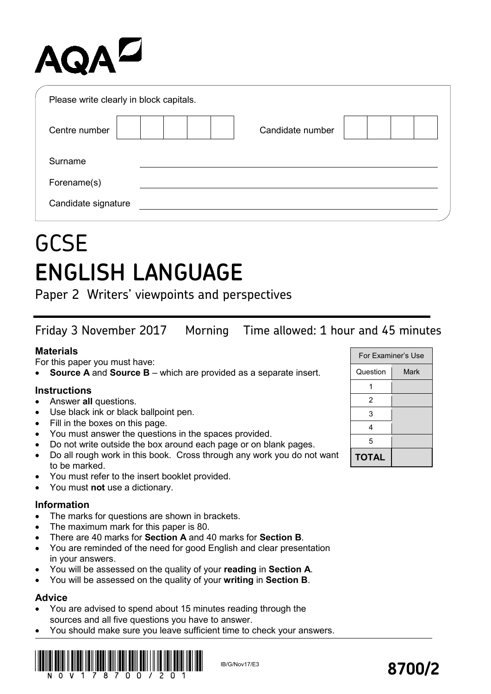## **AQAL**

| Please write clearly in block capitals. |                  |  |
|-----------------------------------------|------------------|--|
| Centre number                           | Candidate number |  |
| Surname                                 |                  |  |
| Forename(s)                             |                  |  |
| Candidate signature                     |                  |  |

### GCSE **ENGLISH LANGUAGE**

Paper 2 Writers' viewpoints and perspectives

Friday 3 November 2017 Morning Time allowed: 1 hour and 45 minutes

#### **Materials**

For this paper you must have:

• **Source A** and **Source B** – which are provided as a separate insert.

#### **Instructions**

- Answer **all** questions.
- Use black ink or black ballpoint pen.
- Fill in the boxes on this page.
- You must answer the questions in the spaces provided.
- Do not write outside the box around each page or on blank pages.
- Do all rough work in this book. Cross through any work you do not want to be marked.
- You must refer to the insert booklet provided.
- You must **not** use a dictionary.

#### **Information**

- The marks for questions are shown in brackets.
- The maximum mark for this paper is 80.
- There are 40 marks for **Section A** and 40 marks for **Section B**.
- You are reminded of the need for good English and clear presentation in your answers.
- You will be assessed on the quality of your **reading** in **Section A**.
- You will be assessed on the quality of your **writing** in **Section B**.

#### **Advice**

- You are advised to spend about 15 minutes reading through the sources and all five questions you have to answer.
- You should make sure you leave sufficient time to check your answers.



| For Examiner's Use |      |
|--------------------|------|
| Question           | Mark |
|                    |      |
| 2                  |      |
| 3                  |      |
| 4                  |      |
| 5                  |      |
| <b>TOTAL</b>       |      |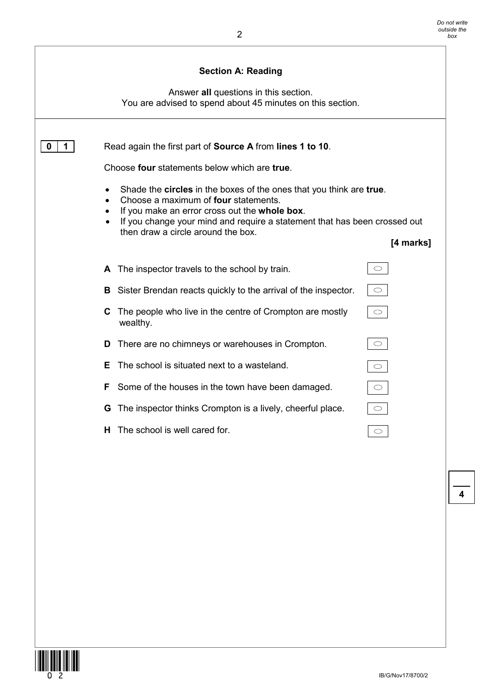|                  |                                     | <b>Section A: Reading</b>                                                                                                                                                                                                                                                       |                     |
|------------------|-------------------------------------|---------------------------------------------------------------------------------------------------------------------------------------------------------------------------------------------------------------------------------------------------------------------------------|---------------------|
|                  |                                     | Answer all questions in this section.<br>You are advised to spend about 45 minutes on this section.                                                                                                                                                                             |                     |
| $\mathbf 1$<br>0 |                                     | Read again the first part of Source A from lines 1 to 10.                                                                                                                                                                                                                       |                     |
|                  |                                     | Choose four statements below which are true.                                                                                                                                                                                                                                    |                     |
|                  | $\bullet$<br>$\bullet$<br>$\bullet$ | Shade the circles in the boxes of the ones that you think are true.<br>Choose a maximum of four statements.<br>If you make an error cross out the whole box.<br>If you change your mind and require a statement that has been crossed out<br>then draw a circle around the box. |                     |
|                  |                                     |                                                                                                                                                                                                                                                                                 | [4 marks]           |
|                  |                                     | A The inspector travels to the school by train.                                                                                                                                                                                                                                 | $\circ$             |
|                  |                                     | <b>B</b> Sister Brendan reacts quickly to the arrival of the inspector.                                                                                                                                                                                                         | $\circlearrowright$ |
|                  | C                                   | The people who live in the centre of Crompton are mostly<br>wealthy.                                                                                                                                                                                                            | $\bigcirc$          |
|                  | D                                   | There are no chimneys or warehouses in Crompton.                                                                                                                                                                                                                                | $\circ$             |
|                  | Е                                   | The school is situated next to a wasteland.                                                                                                                                                                                                                                     | $\circ$             |
|                  | F.                                  | Some of the houses in the town have been damaged.                                                                                                                                                                                                                               | $\circ$             |
|                  | G                                   | The inspector thinks Crompton is a lively, cheerful place.                                                                                                                                                                                                                      | $\bigcirc$          |
|                  | н.                                  | The school is well cared for.                                                                                                                                                                                                                                                   | O                   |
|                  |                                     |                                                                                                                                                                                                                                                                                 |                     |
|                  |                                     |                                                                                                                                                                                                                                                                                 |                     |
|                  |                                     |                                                                                                                                                                                                                                                                                 |                     |
|                  |                                     |                                                                                                                                                                                                                                                                                 |                     |
|                  |                                     |                                                                                                                                                                                                                                                                                 |                     |

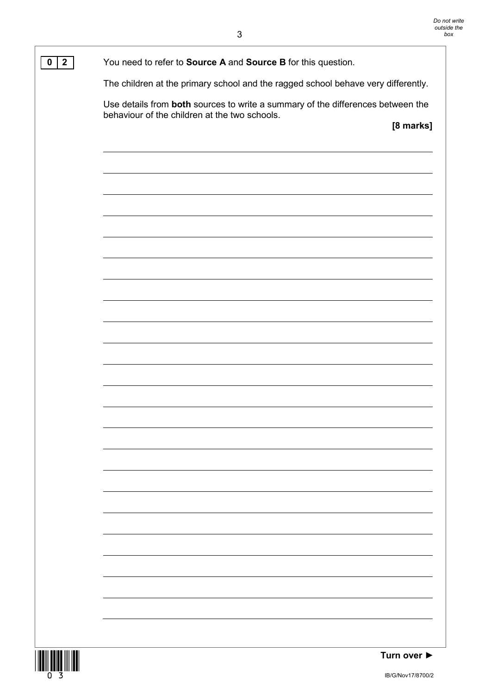| $\mathbf{2}$<br>0 | You need to refer to Source A and Source B for this question.                                                                    |  |  |  |
|-------------------|----------------------------------------------------------------------------------------------------------------------------------|--|--|--|
|                   | The children at the primary school and the ragged school behave very differently.                                                |  |  |  |
|                   | Use details from both sources to write a summary of the differences between the<br>behaviour of the children at the two schools. |  |  |  |
|                   | [8 marks]                                                                                                                        |  |  |  |
|                   |                                                                                                                                  |  |  |  |
|                   |                                                                                                                                  |  |  |  |
|                   |                                                                                                                                  |  |  |  |
|                   |                                                                                                                                  |  |  |  |
|                   |                                                                                                                                  |  |  |  |
|                   |                                                                                                                                  |  |  |  |
|                   |                                                                                                                                  |  |  |  |
|                   |                                                                                                                                  |  |  |  |
|                   |                                                                                                                                  |  |  |  |
|                   |                                                                                                                                  |  |  |  |
|                   |                                                                                                                                  |  |  |  |
|                   |                                                                                                                                  |  |  |  |
|                   |                                                                                                                                  |  |  |  |
|                   |                                                                                                                                  |  |  |  |
|                   |                                                                                                                                  |  |  |  |
|                   |                                                                                                                                  |  |  |  |
|                   |                                                                                                                                  |  |  |  |
|                   |                                                                                                                                  |  |  |  |
|                   |                                                                                                                                  |  |  |  |
|                   |                                                                                                                                  |  |  |  |
|                   |                                                                                                                                  |  |  |  |
|                   |                                                                                                                                  |  |  |  |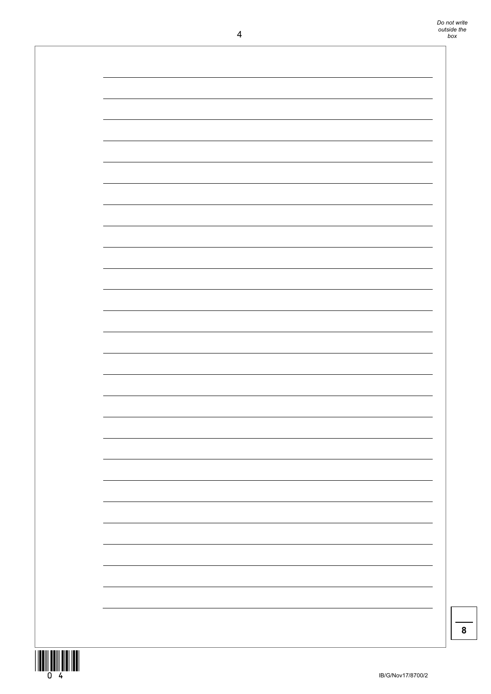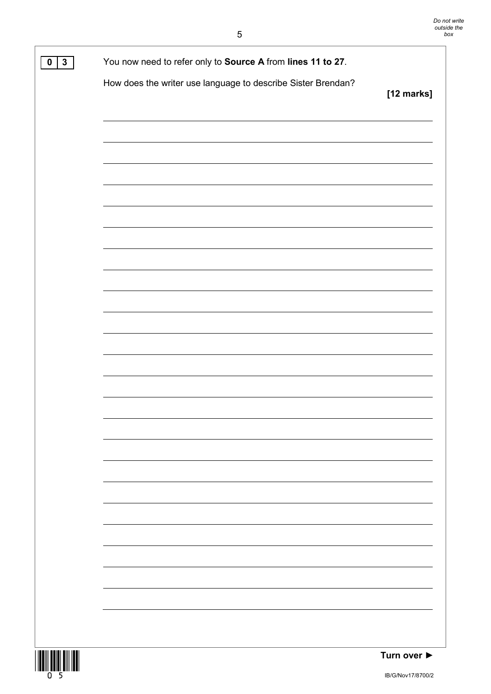| $\mathbf{3}$<br>$\mathbf 0$ | You now need to refer only to Source A from lines 11 to 27.                                                                                                                                                                   |            |
|-----------------------------|-------------------------------------------------------------------------------------------------------------------------------------------------------------------------------------------------------------------------------|------------|
|                             | How does the writer use language to describe Sister Brendan?                                                                                                                                                                  | [12 marks] |
|                             |                                                                                                                                                                                                                               |            |
|                             |                                                                                                                                                                                                                               |            |
|                             |                                                                                                                                                                                                                               |            |
|                             |                                                                                                                                                                                                                               |            |
|                             | the control of the control of the control of the control of the control of the control of the control of the control of the control of the control of the control of the control of the control of the control of the control |            |
|                             |                                                                                                                                                                                                                               |            |
|                             |                                                                                                                                                                                                                               |            |
|                             |                                                                                                                                                                                                                               |            |
|                             |                                                                                                                                                                                                                               |            |
|                             |                                                                                                                                                                                                                               |            |
|                             |                                                                                                                                                                                                                               |            |
|                             |                                                                                                                                                                                                                               |            |
|                             |                                                                                                                                                                                                                               |            |
|                             |                                                                                                                                                                                                                               |            |
|                             |                                                                                                                                                                                                                               |            |
|                             |                                                                                                                                                                                                                               |            |
|                             |                                                                                                                                                                                                                               |            |
|                             |                                                                                                                                                                                                                               |            |
|                             |                                                                                                                                                                                                                               |            |

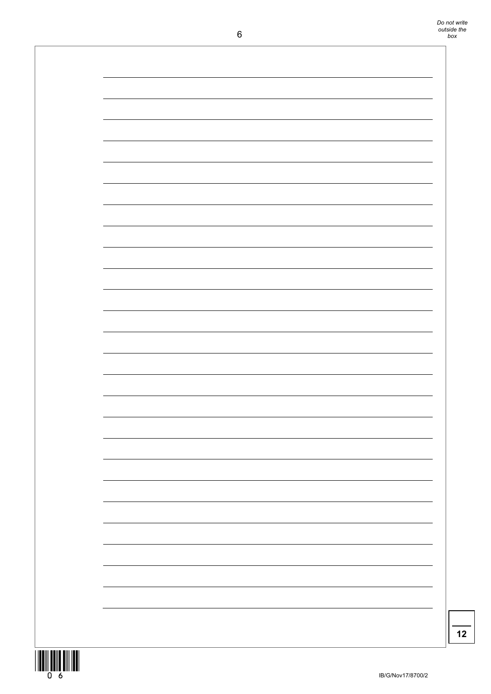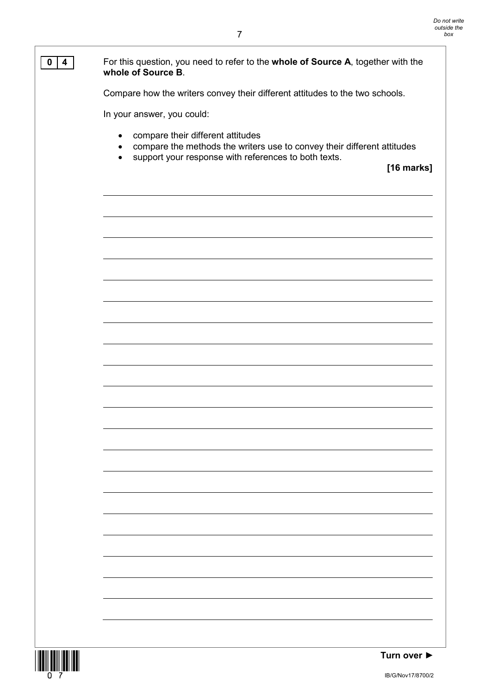# **0 4** For this question, you need to refer to the **whole of Source A**, together with the **whole of Source B**. Compare how the writers convey their different attitudes to the two schools. In your answer, you could: • compare their different attitudes • compare the methods the writers use to convey their different attitudes • support your response with references to both texts. **[16 marks]**



**Turn over ►**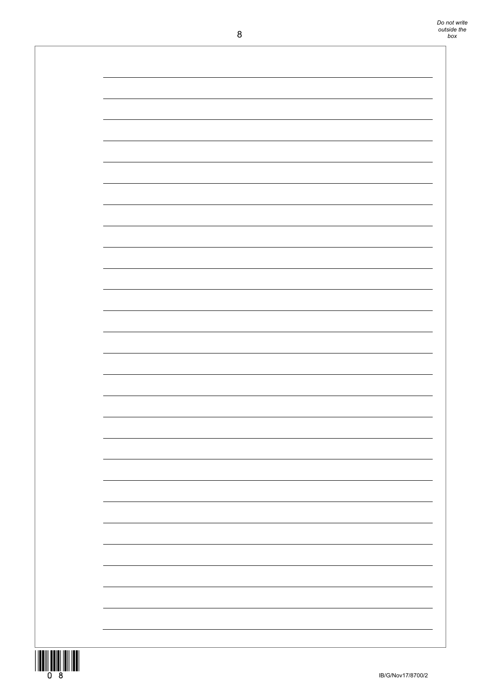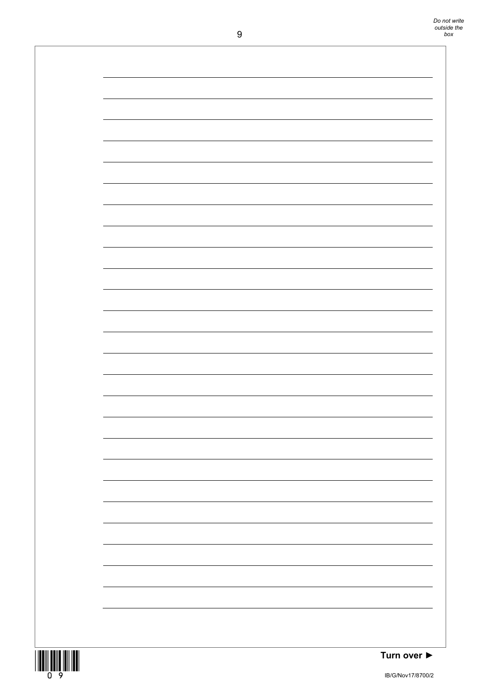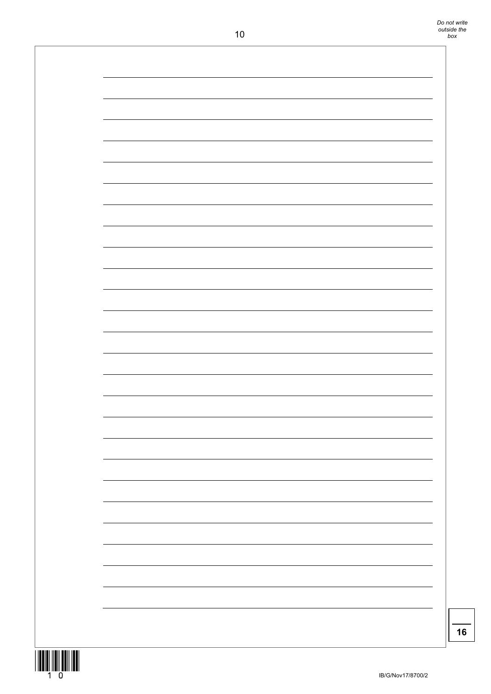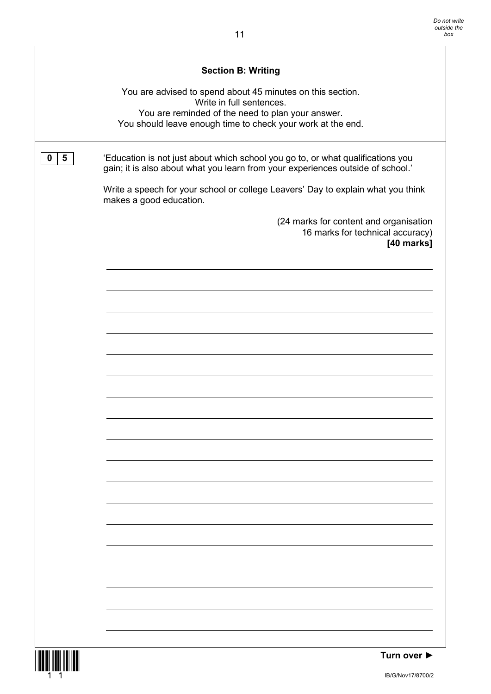|                              | <b>Section B: Writing</b><br>You are advised to spend about 45 minutes on this section.<br>Write in full sentences.<br>You are reminded of the need to plan your answer.<br>You should leave enough time to check your work at the end. |
|------------------------------|-----------------------------------------------------------------------------------------------------------------------------------------------------------------------------------------------------------------------------------------|
| $\overline{\mathbf{5}}$<br>0 | 'Education is not just about which school you go to, or what qualifications you<br>gain; it is also about what you learn from your experiences outside of school.'                                                                      |
|                              | Write a speech for your school or college Leavers' Day to explain what you think<br>makes a good education.                                                                                                                             |
|                              | (24 marks for content and organisation<br>16 marks for technical accuracy)<br>[40 marks]                                                                                                                                                |
|                              |                                                                                                                                                                                                                                         |
|                              |                                                                                                                                                                                                                                         |
|                              |                                                                                                                                                                                                                                         |
|                              |                                                                                                                                                                                                                                         |
|                              |                                                                                                                                                                                                                                         |
|                              |                                                                                                                                                                                                                                         |
|                              |                                                                                                                                                                                                                                         |
|                              |                                                                                                                                                                                                                                         |
|                              | Turn over ▶                                                                                                                                                                                                                             |
|                              | IB/G/Nov17/8700/2                                                                                                                                                                                                                       |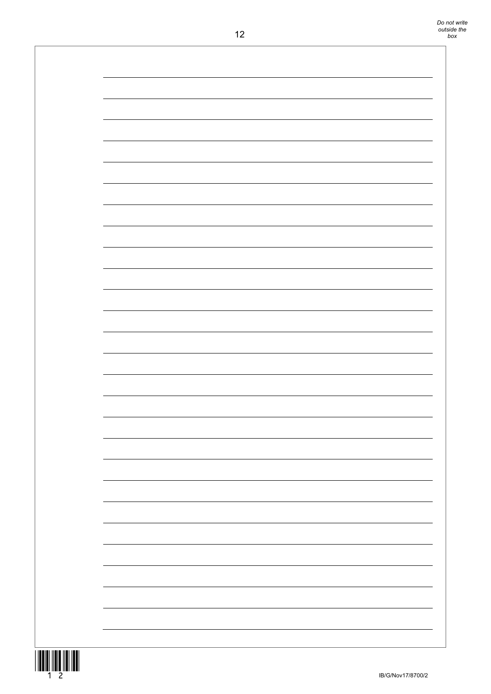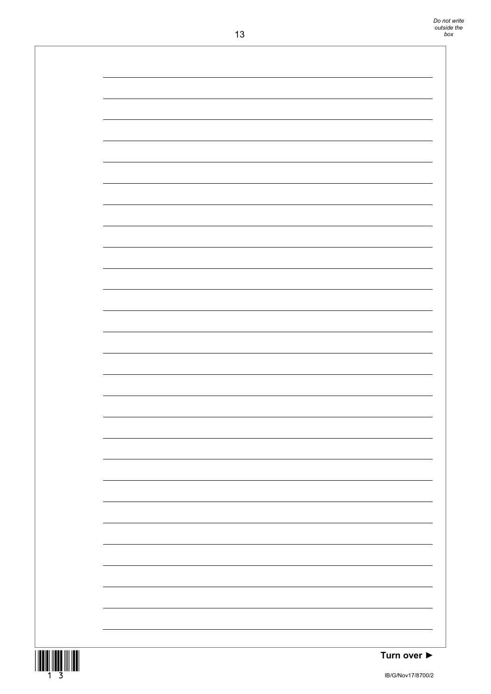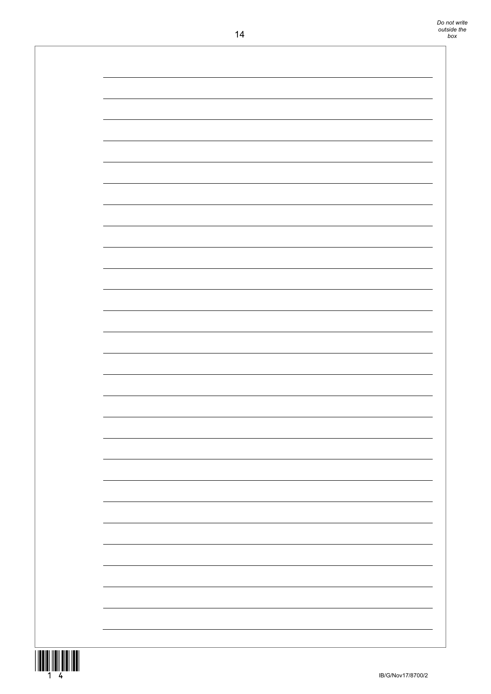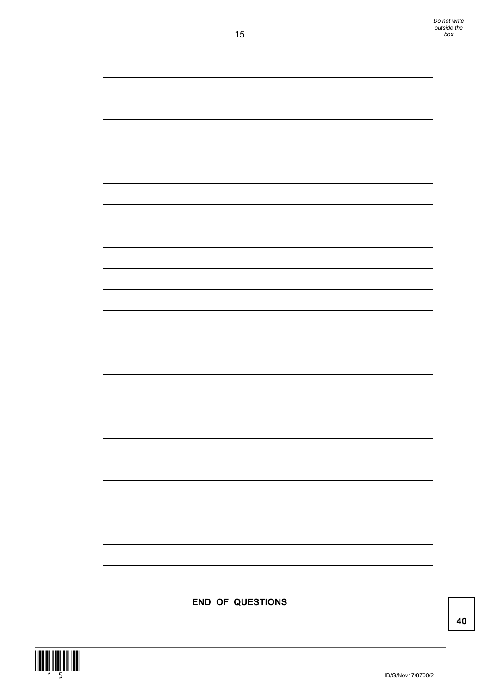